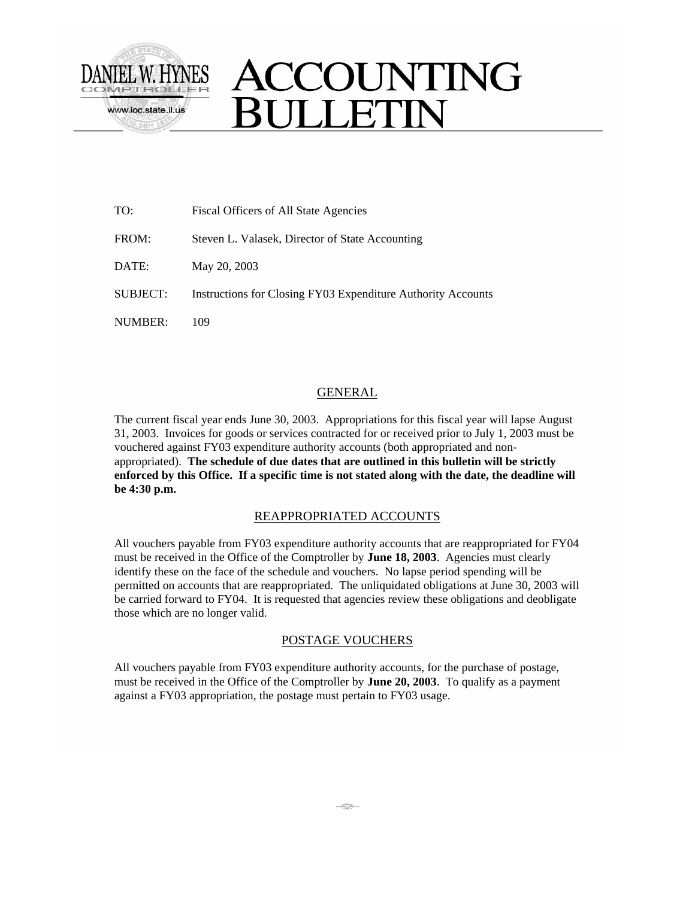

# ACCOUNTING **SULLETIN**

| TO:      | Fiscal Officers of All State Agencies                        |
|----------|--------------------------------------------------------------|
| FROM:    | Steven L. Valasek, Director of State Accounting              |
| DATE:    | May 20, 2003                                                 |
| SUBJECT: | Instructions for Closing FY03 Expenditure Authority Accounts |
| NUMBER:  | 109                                                          |

# **GENERAL**

The current fiscal year ends June 30, 2003. Appropriations for this fiscal year will lapse August 31, 2003. Invoices for goods or services contracted for or received prior to July 1, 2003 must be vouchered against FY03 expenditure authority accounts (both appropriated and nonappropriated). **The schedule of due dates that are outlined in this bulletin will be strictly enforced by this Office. If a specific time is not stated along with the date, the deadline will be 4:30 p.m.**

#### REAPPROPRIATED ACCOUNTS

All vouchers payable from FY03 expenditure authority accounts that are reappropriated for FY04 must be received in the Office of the Comptroller by **June 18, 2003**. Agencies must clearly identify these on the face of the schedule and vouchers. No lapse period spending will be permitted on accounts that are reappropriated. The unliquidated obligations at June 30, 2003 will be carried forward to FY04. It is requested that agencies review these obligations and deobligate those which are no longer valid.

## POSTAGE VOUCHERS

All vouchers payable from FY03 expenditure authority accounts, for the purchase of postage, must be received in the Office of the Comptroller by **June 20, 2003**. To qualify as a payment against a FY03 appropriation, the postage must pertain to FY03 usage.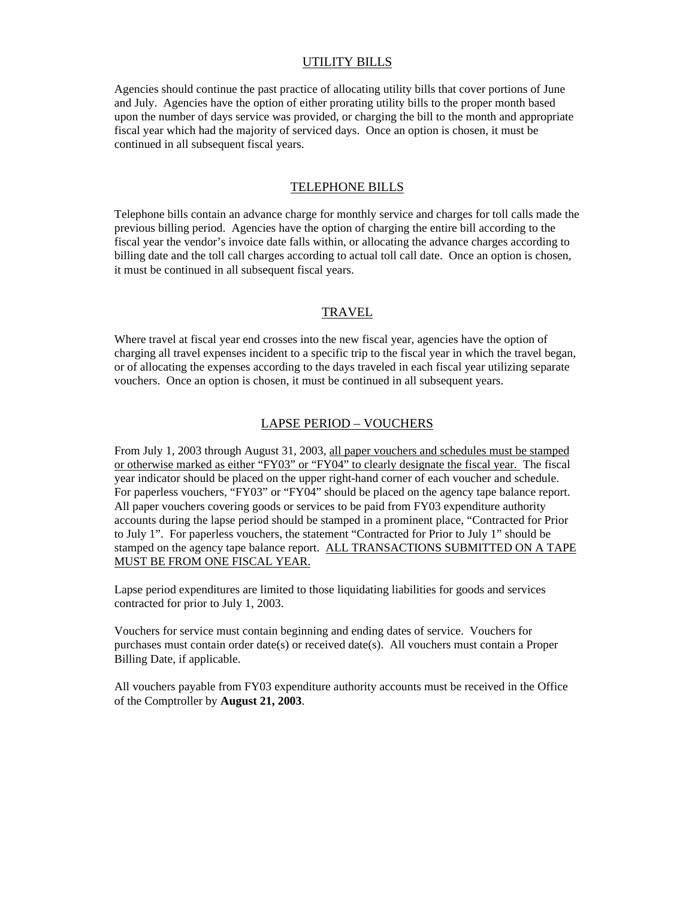#### UTILITY BILLS

Agencies should continue the past practice of allocating utility bills that cover portions of June and July. Agencies have the option of either prorating utility bills to the proper month based upon the number of days service was provided, or charging the bill to the month and appropriate fiscal year which had the majority of serviced days. Once an option is chosen, it must be continued in all subsequent fiscal years.

#### TELEPHONE BILLS

Telephone bills contain an advance charge for monthly service and charges for toll calls made the previous billing period. Agencies have the option of charging the entire bill according to the fiscal year the vendor's invoice date falls within, or allocating the advance charges according to billing date and the toll call charges according to actual toll call date. Once an option is chosen, it must be continued in all subsequent fiscal years.

# TRAVEL

Where travel at fiscal year end crosses into the new fiscal year, agencies have the option of charging all travel expenses incident to a specific trip to the fiscal year in which the travel began, or of allocating the expenses according to the days traveled in each fiscal year utilizing separate vouchers. Once an option is chosen, it must be continued in all subsequent years.

#### LAPSE PERIOD – VOUCHERS

From July 1, 2003 through August 31, 2003, all paper vouchers and schedules must be stamped or otherwise marked as either "FY03" or "FY04" to clearly designate the fiscal year. The fiscal year indicator should be placed on the upper right-hand corner of each voucher and schedule. For paperless vouchers, "FY03" or "FY04" should be placed on the agency tape balance report. All paper vouchers covering goods or services to be paid from FY03 expenditure authority accounts during the lapse period should be stamped in a prominent place, "Contracted for Prior to July 1". For paperless vouchers, the statement "Contracted for Prior to July 1" should be stamped on the agency tape balance report. ALL TRANSACTIONS SUBMITTED ON A TAPE MUST BE FROM ONE FISCAL YEAR.

Lapse period expenditures are limited to those liquidating liabilities for goods and services contracted for prior to July 1, 2003.

Vouchers for service must contain beginning and ending dates of service. Vouchers for purchases must contain order date(s) or received date(s). All vouchers must contain a Proper Billing Date, if applicable.

All vouchers payable from FY03 expenditure authority accounts must be received in the Office of the Comptroller by **August 21, 2003**.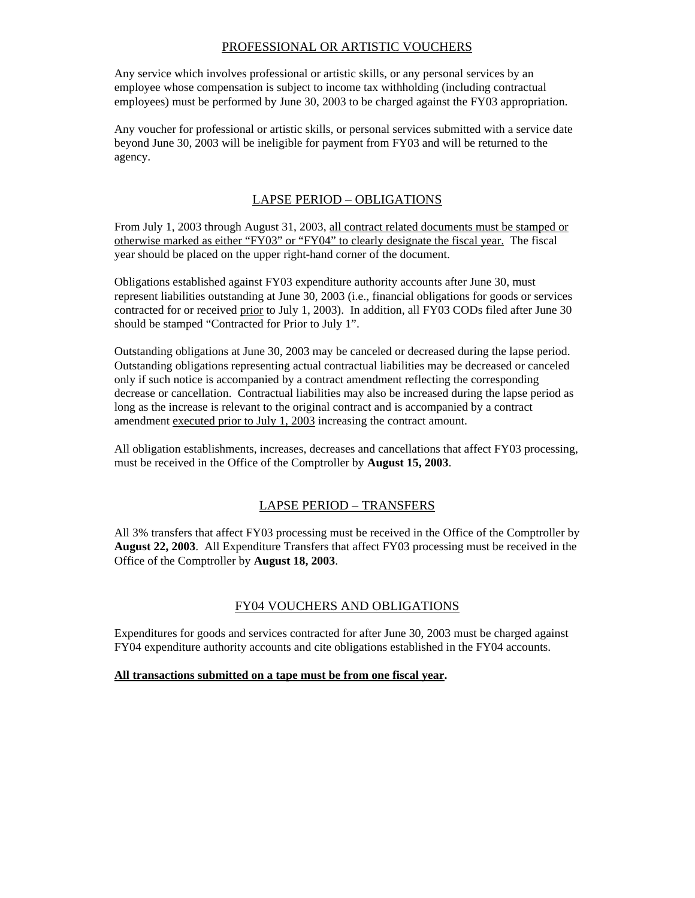# PROFESSIONAL OR ARTISTIC VOUCHERS

Any service which involves professional or artistic skills, or any personal services by an employee whose compensation is subject to income tax withholding (including contractual employees) must be performed by June 30, 2003 to be charged against the FY03 appropriation.

Any voucher for professional or artistic skills, or personal services submitted with a service date beyond June 30, 2003 will be ineligible for payment from FY03 and will be returned to the agency.

# LAPSE PERIOD – OBLIGATIONS

From July 1, 2003 through August 31, 2003, all contract related documents must be stamped or otherwise marked as either "FY03" or "FY04" to clearly designate the fiscal year. The fiscal year should be placed on the upper right-hand corner of the document.

Obligations established against FY03 expenditure authority accounts after June 30, must represent liabilities outstanding at June 30, 2003 (i.e., financial obligations for goods or services contracted for or received prior to July 1, 2003). In addition, all FY03 CODs filed after June 30 should be stamped "Contracted for Prior to July 1".

Outstanding obligations at June 30, 2003 may be canceled or decreased during the lapse period. Outstanding obligations representing actual contractual liabilities may be decreased or canceled only if such notice is accompanied by a contract amendment reflecting the corresponding decrease or cancellation. Contractual liabilities may also be increased during the lapse period as long as the increase is relevant to the original contract and is accompanied by a contract amendment executed prior to July 1, 2003 increasing the contract amount.

All obligation establishments, increases, decreases and cancellations that affect FY03 processing, must be received in the Office of the Comptroller by **August 15, 2003**.

# LAPSE PERIOD – TRANSFERS

All 3% transfers that affect FY03 processing must be received in the Office of the Comptroller by **August 22, 2003**. All Expenditure Transfers that affect FY03 processing must be received in the Office of the Comptroller by **August 18, 2003**.

## FY04 VOUCHERS AND OBLIGATIONS

Expenditures for goods and services contracted for after June 30, 2003 must be charged against FY04 expenditure authority accounts and cite obligations established in the FY04 accounts.

#### **All transactions submitted on a tape must be from one fiscal year.**